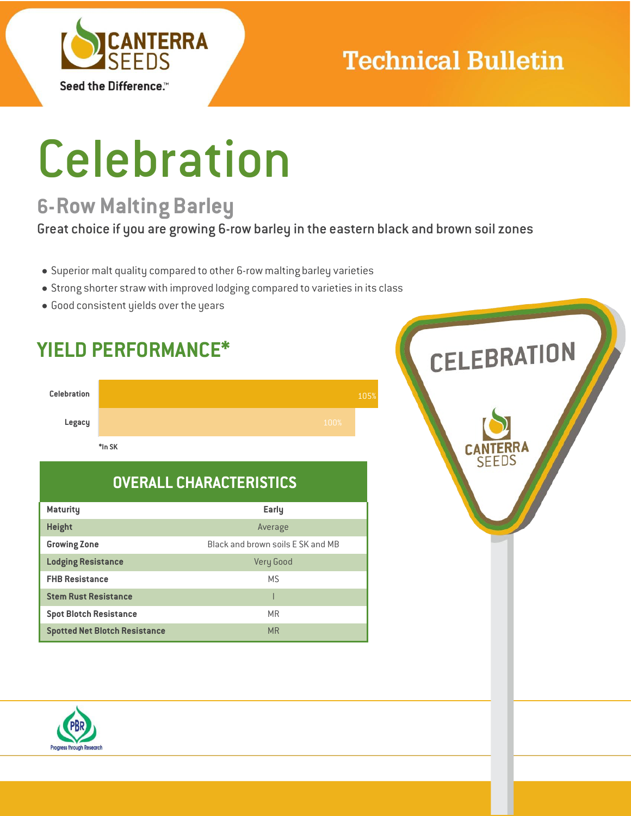

## **Technical Bulletin**

# Celebration

### **6-Row Malting Barley**

Great choice if you are growing 6-row barley in the eastern black and brown soil zones

- Superior malt quality compared to other 6-row malting barley varieties
- Strong shorter straw with improved lodging compared to varieties in its class
- Good consistent yields over the years

**YIELD PERFORMANCE\***



### **OVERALL CHARACTERISTICS**

| <b>Maturity</b>                      | Early                             |
|--------------------------------------|-----------------------------------|
| <b>Height</b>                        | Average                           |
| <b>Growing Zone</b>                  | Black and brown soils F SK and MB |
| <b>Lodging Resistance</b>            | Very Good                         |
| <b>FHB Resistance</b>                | M.S                               |
| <b>Stem Rust Resistance</b>          |                                   |
| <b>Spot Blotch Resistance</b>        | <b>MR</b>                         |
| <b>Spotted Net Blotch Resistance</b> | <b>MR</b>                         |